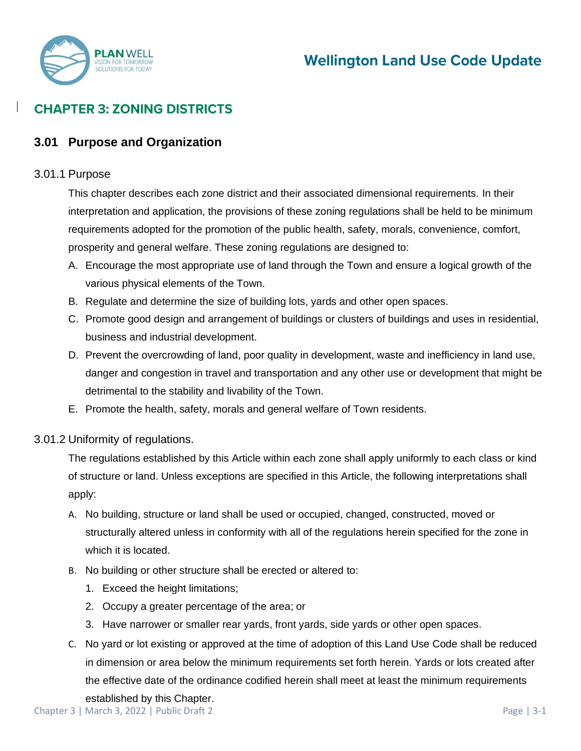

# **CHAPTER 3: ZONING DISTRICTS**

## **3.01 Purpose and Organization**

#### 3.01.1 Purpose

This chapter describes each zone district and their associated dimensional requirements. In their interpretation and application, the provisions of these zoning regulations shall be held to be minimum requirements adopted for the promotion of the public health, safety, morals, convenience, comfort, prosperity and general welfare. These zoning regulations are designed to:

- A. Encourage the most appropriate use of land through the Town and ensure a logical growth of the various physical elements of the Town.
- B. Regulate and determine the size of building lots, yards and other open spaces.
- C. Promote good design and arrangement of buildings or clusters of buildings and uses in residential, business and industrial development.
- D. Prevent the overcrowding of land, poor quality in development, waste and inefficiency in land use, danger and congestion in travel and transportation and any other use or development that might be detrimental to the stability and livability of the Town.
- E. Promote the health, safety, morals and general welfare of Town residents.

3.01.2 Uniformity of regulations.

The regulations established by this Article within each zone shall apply uniformly to each class or kind of structure or land. Unless exceptions are specified in this Article, the following interpretations shall apply:

- A. No building, structure or land shall be used or occupied, changed, constructed, moved or structurally altered unless in conformity with all of the regulations herein specified for the zone in which it is located.
- B. No building or other structure shall be erected or altered to:
	- 1. Exceed the height limitations;
	- 2. Occupy a greater percentage of the area; or
	- 3. Have narrower or smaller rear yards, front yards, side yards or other open spaces.
- C. No yard or lot existing or approved at the time of adoption of this Land Use Code shall be reduced in dimension or area below the minimum requirements set forth herein. Yards or lots created after the effective date of the ordinance codified herein shall meet at least the minimum requirements

established by this Chapter.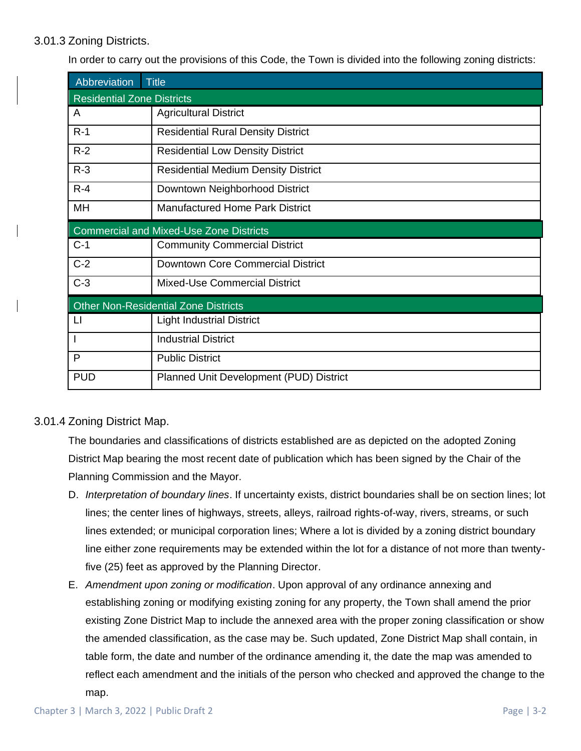### 3.01.3 Zoning Districts.

In order to carry out the provisions of this Code, the Town is divided into the following zoning districts:

| Abbreviation                      | <b>Title</b>                                   |
|-----------------------------------|------------------------------------------------|
| <b>Residential Zone Districts</b> |                                                |
| A                                 | <b>Agricultural District</b>                   |
| $R-1$                             | <b>Residential Rural Density District</b>      |
| $R-2$                             | <b>Residential Low Density District</b>        |
| $R-3$                             | <b>Residential Medium Density District</b>     |
| $R - 4$                           | Downtown Neighborhood District                 |
| MH                                | <b>Manufactured Home Park District</b>         |
|                                   | <b>Commercial and Mixed-Use Zone Districts</b> |
| $C-1$                             | <b>Community Commercial District</b>           |
| $C-2$                             | <b>Downtown Core Commercial District</b>       |
| $C-3$                             | <b>Mixed-Use Commercial District</b>           |
|                                   | <b>Other Non-Residential Zone Districts</b>    |
| LI                                | <b>Light Industrial District</b>               |
| $\overline{\phantom{a}}$          | <b>Industrial District</b>                     |
| P                                 | <b>Public District</b>                         |
| <b>PUD</b>                        | <b>Planned Unit Development (PUD) District</b> |

### 3.01.4 Zoning District Map.

The boundaries and classifications of districts established are as depicted on the adopted Zoning District Map bearing the most recent date of publication which has been signed by the Chair of the Planning Commission and the Mayor.

- D. *Interpretation of boundary lines*. If uncertainty exists, district boundaries shall be on section lines; lot lines; the center lines of highways, streets, alleys, railroad rights-of-way, rivers, streams, or such lines extended; or municipal corporation lines; Where a lot is divided by a zoning district boundary line either zone requirements may be extended within the lot for a distance of not more than twentyfive (25) feet as approved by the Planning Director.
- E. *Amendment upon zoning or modification*. Upon approval of any ordinance annexing and establishing zoning or modifying existing zoning for any property, the Town shall amend the prior existing Zone District Map to include the annexed area with the proper zoning classification or show the amended classification, as the case may be. Such updated, Zone District Map shall contain, in table form, the date and number of the ordinance amending it, the date the map was amended to reflect each amendment and the initials of the person who checked and approved the change to the map.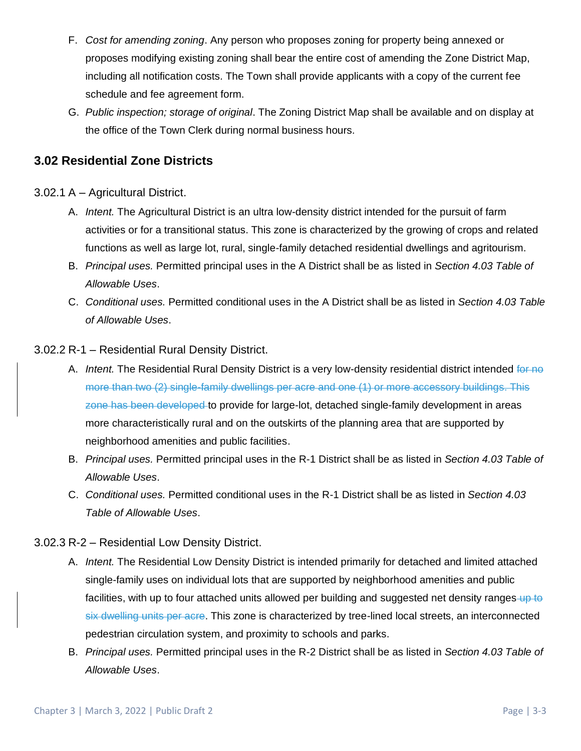- F. *Cost for amending zoning*. Any person who proposes zoning for property being annexed or proposes modifying existing zoning shall bear the entire cost of amending the Zone District Map, including all notification costs. The Town shall provide applicants with a copy of the current fee schedule and fee agreement form.
- G. *Public inspection; storage of original*. The Zoning District Map shall be available and on display at the office of the Town Clerk during normal business hours.

## **3.02 Residential Zone Districts**

### 3.02.1 A – Agricultural District.

- A. *Intent.* The Agricultural District is an ultra low-density district intended for the pursuit of farm activities or for a transitional status. This zone is characterized by the growing of crops and related functions as well as large lot, rural, single-family detached residential dwellings and agritourism.
- B. *Principal uses.* Permitted principal uses in the A District shall be as listed in *Section 4.03 Table of Allowable Uses*.
- C. *Conditional uses.* Permitted conditional uses in the A District shall be as listed in *Section 4.03 Table of Allowable Uses*.

#### 3.02.2 R-1 – Residential Rural Density District.

- A. *Intent.* The Residential Rural Density District is a very low-density residential district intended for no more than two (2) single-family dwellings per acre and one (1) or more accessory buildings. This zone has been developed to provide for large-lot, detached single-family development in areas more characteristically rural and on the outskirts of the planning area that are supported by neighborhood amenities and public facilities.
- B. *Principal uses.* Permitted principal uses in the R-1 District shall be as listed in *Section 4.03 Table of Allowable Uses*.
- C. *Conditional uses.* Permitted conditional uses in the R-1 District shall be as listed in *Section 4.03 Table of Allowable Uses*.

### 3.02.3 R-2 – Residential Low Density District.

- A. *Intent.* The Residential Low Density District is intended primarily for detached and limited attached single-family uses on individual lots that are supported by neighborhood amenities and public facilities, with up to four attached units allowed per building and suggested net density ranges up to six dwelling units per acre. This zone is characterized by tree-lined local streets, an interconnected pedestrian circulation system, and proximity to schools and parks.
- B. *Principal uses.* Permitted principal uses in the R-2 District shall be as listed in *Section 4.03 Table of Allowable Uses*.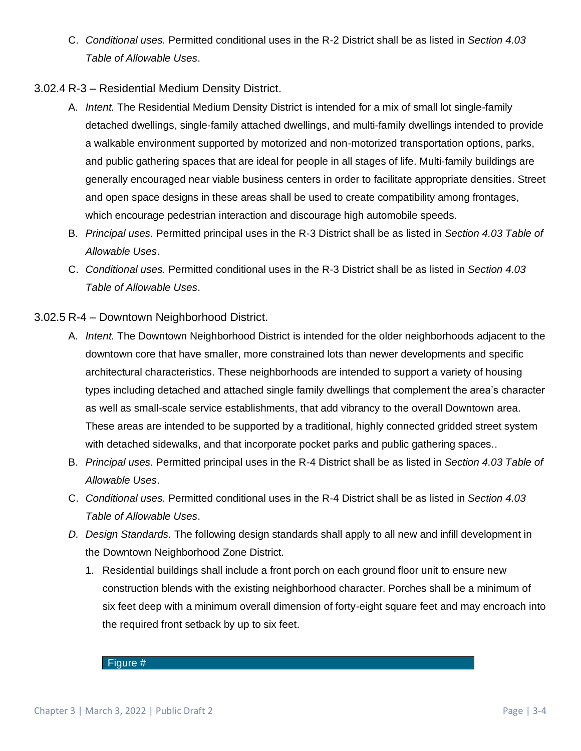- C. *Conditional uses.* Permitted conditional uses in the R-2 District shall be as listed in *Section 4.03 Table of Allowable Uses*.
- 3.02.4 R-3 Residential Medium Density District.
	- A. *Intent.* The Residential Medium Density District is intended for a mix of small lot single-family detached dwellings, single-family attached dwellings, and multi-family dwellings intended to provide a walkable environment supported by motorized and non-motorized transportation options, parks, and public gathering spaces that are ideal for people in all stages of life. Multi-family buildings are generally encouraged near viable business centers in order to facilitate appropriate densities. Street and open space designs in these areas shall be used to create compatibility among frontages, which encourage pedestrian interaction and discourage high automobile speeds.
	- B. *Principal uses.* Permitted principal uses in the R-3 District shall be as listed in *Section 4.03 Table of Allowable Uses*.
	- C. *Conditional uses.* Permitted conditional uses in the R-3 District shall be as listed in *Section 4.03 Table of Allowable Uses*.

#### 3.02.5 R-4 – Downtown Neighborhood District.

- A. *Intent.* The Downtown Neighborhood District is intended for the older neighborhoods adjacent to the downtown core that have smaller, more constrained lots than newer developments and specific architectural characteristics. These neighborhoods are intended to support a variety of housing types including detached and attached single family dwellings that complement the area's character as well as small-scale service establishments, that add vibrancy to the overall Downtown area. These areas are intended to be supported by a traditional, highly connected gridded street system with detached sidewalks, and that incorporate pocket parks and public gathering spaces..
- B. *Principal uses.* Permitted principal uses in the R-4 District shall be as listed in *Section 4.03 Table of Allowable Uses*.
- C. *Conditional uses.* Permitted conditional uses in the R-4 District shall be as listed in *Section 4.03 Table of Allowable Uses*.
- *D. Design Standards.* The following design standards shall apply to all new and infill development in the Downtown Neighborhood Zone District.
	- 1. Residential buildings shall include a front porch on each ground floor unit to ensure new construction blends with the existing neighborhood character. Porches shall be a minimum of six feet deep with a minimum overall dimension of forty-eight square feet and may encroach into the required front setback by up to six feet.

#### Figure #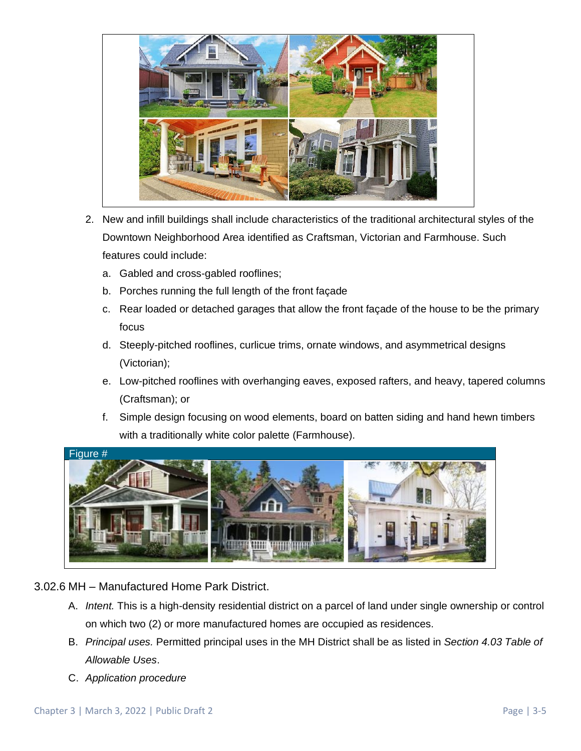

- 2. New and infill buildings shall include characteristics of the traditional architectural styles of the Downtown Neighborhood Area identified as Craftsman, Victorian and Farmhouse. Such features could include:
	- a. Gabled and cross-gabled rooflines;
	- b. Porches running the full length of the front façade
	- c. Rear loaded or detached garages that allow the front façade of the house to be the primary focus
	- d. Steeply-pitched rooflines, curlicue trims, ornate windows, and asymmetrical designs (Victorian);
	- e. Low-pitched rooflines with overhanging eaves, exposed rafters, and heavy, tapered columns (Craftsman); or
	- f. Simple design focusing on wood elements, board on batten siding and hand hewn timbers with a traditionally white color palette (Farmhouse).



- 3.02.6 MH Manufactured Home Park District.
	- A. *Intent.* This is a high-density residential district on a parcel of land under single ownership or control on which two (2) or more manufactured homes are occupied as residences.
	- B. *Principal uses.* Permitted principal uses in the MH District shall be as listed in *Section 4.03 Table of Allowable Uses*.
	- C. *Application procedure*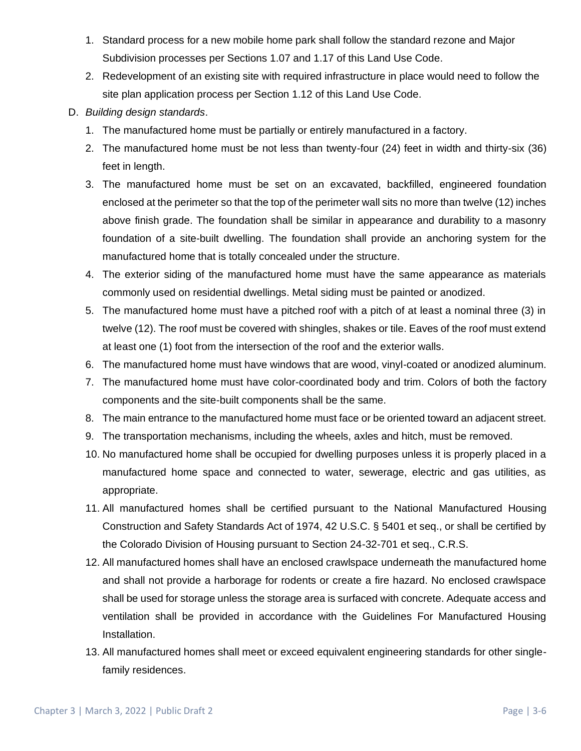- 1. Standard process for a new mobile home park shall follow the standard rezone and Major Subdivision processes per Sections 1.07 and 1.17 of this Land Use Code.
- 2. Redevelopment of an existing site with required infrastructure in place would need to follow the site plan application process per Section 1.12 of this Land Use Code.
- D. *Building design standards*.
	- 1. The manufactured home must be partially or entirely manufactured in a factory.
	- 2. The manufactured home must be not less than twenty-four (24) feet in width and thirty-six (36) feet in length.
	- 3. The manufactured home must be set on an excavated, backfilled, engineered foundation enclosed at the perimeter so that the top of the perimeter wall sits no more than twelve (12) inches above finish grade. The foundation shall be similar in appearance and durability to a masonry foundation of a site-built dwelling. The foundation shall provide an anchoring system for the manufactured home that is totally concealed under the structure.
	- 4. The exterior siding of the manufactured home must have the same appearance as materials commonly used on residential dwellings. Metal siding must be painted or anodized.
	- 5. The manufactured home must have a pitched roof with a pitch of at least a nominal three (3) in twelve (12). The roof must be covered with shingles, shakes or tile. Eaves of the roof must extend at least one (1) foot from the intersection of the roof and the exterior walls.
	- 6. The manufactured home must have windows that are wood, vinyl-coated or anodized aluminum.
	- 7. The manufactured home must have color-coordinated body and trim. Colors of both the factory components and the site-built components shall be the same.
	- 8. The main entrance to the manufactured home must face or be oriented toward an adjacent street.
	- 9. The transportation mechanisms, including the wheels, axles and hitch, must be removed.
	- 10. No manufactured home shall be occupied for dwelling purposes unless it is properly placed in a manufactured home space and connected to water, sewerage, electric and gas utilities, as appropriate.
	- 11. All manufactured homes shall be certified pursuant to the National Manufactured Housing Construction and Safety Standards Act of 1974, 42 U.S.C. § 5401 et seq., or shall be certified by the Colorado Division of Housing pursuant to Section 24-32-701 et seq., C.R.S.
	- 12. All manufactured homes shall have an enclosed crawlspace underneath the manufactured home and shall not provide a harborage for rodents or create a fire hazard. No enclosed crawlspace shall be used for storage unless the storage area is surfaced with concrete. Adequate access and ventilation shall be provided in accordance with the Guidelines For Manufactured Housing Installation.
	- 13. All manufactured homes shall meet or exceed equivalent engineering standards for other singlefamily residences.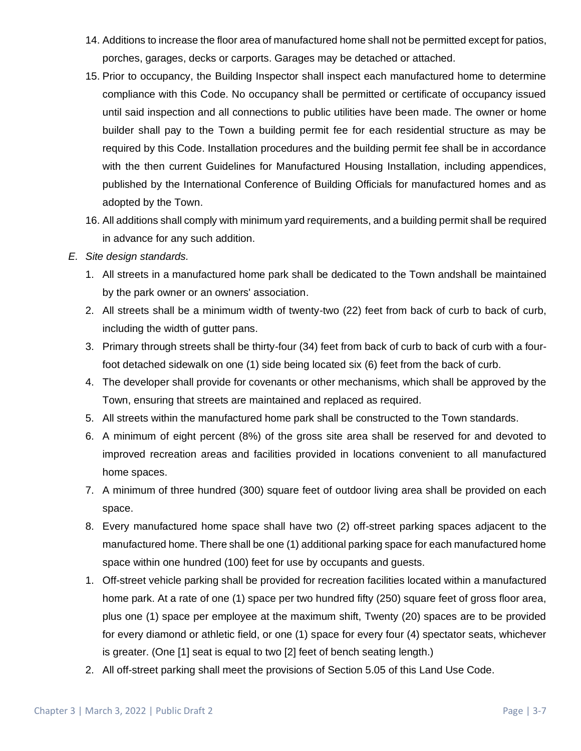- 14. Additions to increase the floor area of manufactured home shall not be permitted except for patios, porches, garages, decks or carports. Garages may be detached or attached.
- 15. Prior to occupancy, the Building Inspector shall inspect each manufactured home to determine compliance with this Code. No occupancy shall be permitted or certificate of occupancy issued until said inspection and all connections to public utilities have been made. The owner or home builder shall pay to the Town a building permit fee for each residential structure as may be required by this Code. Installation procedures and the building permit fee shall be in accordance with the then current Guidelines for Manufactured Housing Installation, including appendices, published by the International Conference of Building Officials for manufactured homes and as adopted by the Town.
- 16. All additions shall comply with minimum yard requirements, and a building permit shall be required in advance for any such addition.

#### *E. Site design standards.*

- 1. All streets in a manufactured home park shall be dedicated to the Town andshall be maintained by the park owner or an owners' association.
- 2. All streets shall be a minimum width of twenty-two (22) feet from back of curb to back of curb, including the width of gutter pans.
- 3. Primary through streets shall be thirty-four (34) feet from back of curb to back of curb with a fourfoot detached sidewalk on one (1) side being located six (6) feet from the back of curb.
- 4. The developer shall provide for covenants or other mechanisms, which shall be approved by the Town, ensuring that streets are maintained and replaced as required.
- 5. All streets within the manufactured home park shall be constructed to the Town standards.
- 6. A minimum of eight percent (8%) of the gross site area shall be reserved for and devoted to improved recreation areas and facilities provided in locations convenient to all manufactured home spaces.
- 7. A minimum of three hundred (300) square feet of outdoor living area shall be provided on each space.
- 8. Every manufactured home space shall have two (2) off-street parking spaces adjacent to the manufactured home. There shall be one (1) additional parking space for each manufactured home space within one hundred (100) feet for use by occupants and guests.
- 1. Off-street vehicle parking shall be provided for recreation facilities located within a manufactured home park. At a rate of one (1) space per two hundred fifty (250) square feet of gross floor area, plus one (1) space per employee at the maximum shift, Twenty (20) spaces are to be provided for every diamond or athletic field, or one (1) space for every four (4) spectator seats, whichever is greater. (One [1] seat is equal to two [2] feet of bench seating length.)
- 2. All off-street parking shall meet the provisions of Section 5.05 of this Land Use Code.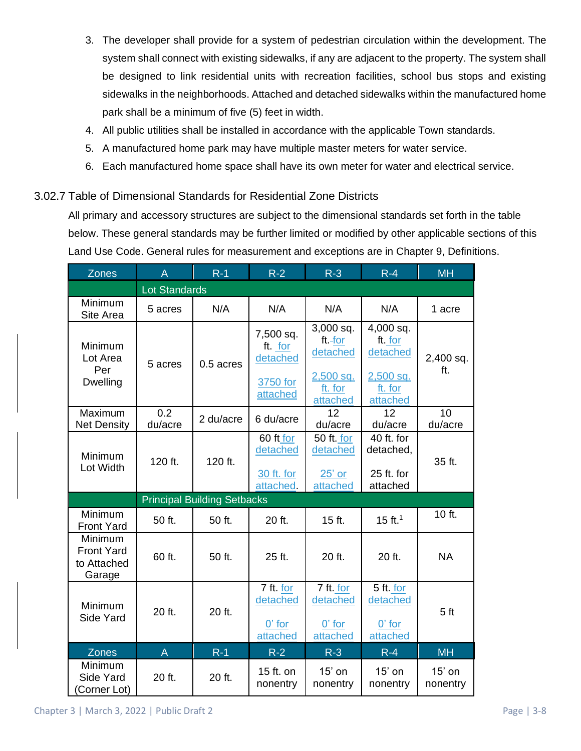- 3. The developer shall provide for a system of pedestrian circulation within the development. The system shall connect with existing sidewalks, if any are adjacent to the property. The system shall be designed to link residential units with recreation facilities, school bus stops and existing sidewalks in the neighborhoods. Attached and detached sidewalks within the manufactured home park shall be a minimum of five (5) feet in width.
- 4. All public utilities shall be installed in accordance with the applicable Town standards.
- 5. A manufactured home park may have multiple master meters for water service.
- 6. Each manufactured home space shall have its own meter for water and electrical service.

### 3.02.7 Table of Dimensional Standards for Residential Zone Districts

All primary and accessory structures are subject to the dimensional standards set forth in the table below. These general standards may be further limited or modified by other applicable sections of this Land Use Code. General rules for measurement and exceptions are in Chapter 9, Definitions.

| <b>Zones</b>                                                 | A                                  | $R-1$     | $R-2$                                                    | $R-3$                                                                  | $R - 4$                                                                | <b>MH</b>          |
|--------------------------------------------------------------|------------------------------------|-----------|----------------------------------------------------------|------------------------------------------------------------------------|------------------------------------------------------------------------|--------------------|
|                                                              | <b>Lot Standards</b>               |           |                                                          |                                                                        |                                                                        |                    |
| Minimum<br>Site Area                                         | 5 acres                            | N/A       | N/A                                                      | N/A                                                                    | N/A                                                                    | 1 acre             |
| Minimum<br>Lot Area<br>Per<br><b>Dwelling</b>                | 5 acres                            | 0.5 acres | 7,500 sq.<br>ft. for<br>detached<br>3750 for<br>attached | 3,000 sq.<br>ft.-for<br>detached<br>$2,500$ sq.<br>ft. for<br>attached | 4,000 sq.<br>ft. for<br>detached<br>$2,500$ sq.<br>ft. for<br>attached | 2,400 sq.<br>ft.   |
| Maximum<br><b>Net Density</b>                                | 0.2<br>du/acre                     | 2 du/acre | 6 du/acre                                                | 12<br>du/acre                                                          | 12<br>du/acre                                                          | 10<br>du/acre      |
| <b>Minimum</b><br>Lot Width                                  | 120 ft.                            | 120 ft.   | 60 ft for<br>detached<br>30 ft. for<br>attached.         | 50 ft. for<br>detached<br>$25'$ or<br>attached                         | 40 ft. for<br>detached,<br>25 ft. for<br>attached                      | 35 ft.             |
|                                                              | <b>Principal Building Setbacks</b> |           |                                                          |                                                                        |                                                                        |                    |
| Minimum<br><b>Front Yard</b>                                 | 50 ft.                             | 50 ft.    | 20 ft.                                                   | 15 ft.                                                                 | 15 ft. $1$                                                             | 10 ft.             |
| <b>Minimum</b><br><b>Front Yard</b><br>to Attached<br>Garage | 60 ft.                             | 50 ft.    | 25 ft.                                                   | 20 ft.                                                                 | 20 ft.                                                                 | <b>NA</b>          |
| Minimum<br>Side Yard                                         | 20 ft.                             | 20 ft.    | 7 ft. for<br>detached<br>$0'$ for<br>attached            | 7 ft. for<br>detached<br>$0'$ for<br>attached                          | 5 ft. for<br>detached<br>$0'$ for<br>attached                          | 5 <sub>ft</sub>    |
| <b>Zones</b>                                                 | A                                  | $R-1$     | $R-2$                                                    | $R-3$                                                                  | $R - 4$                                                                | <b>MH</b>          |
| Minimum<br>Side Yard<br>Corner Lot)                          | 20 ft.                             | 20 ft.    | 15 ft. on<br>nonentry                                    | $15'$ on<br>nonentry                                                   | $15'$ on<br>nonentry                                                   | 15' on<br>nonentry |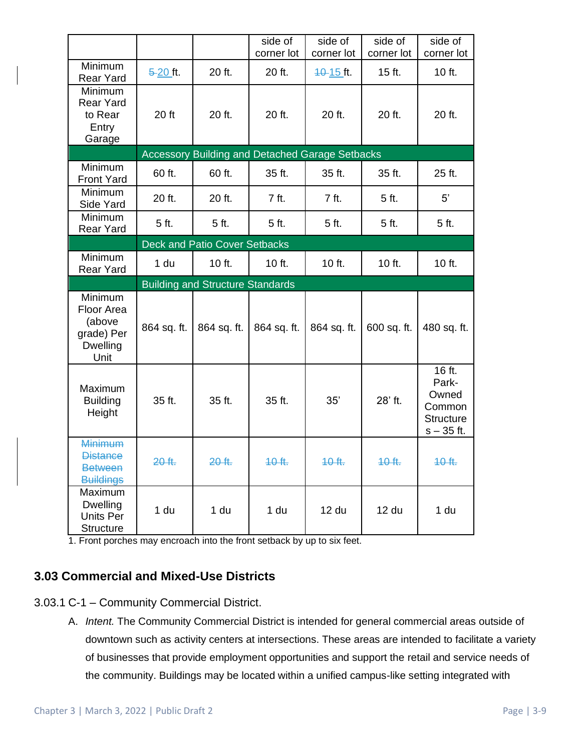|                                                                          |             |                                                 | side of<br>corner lot | side of<br>corner lot | side of<br>corner lot | side of<br>corner lot                                                  |
|--------------------------------------------------------------------------|-------------|-------------------------------------------------|-----------------------|-----------------------|-----------------------|------------------------------------------------------------------------|
| Minimum<br><b>Rear Yard</b>                                              | $5-20$ ft.  | 20 ft.                                          | 20 ft.                | $10-15$ ft.           | 15 ft.                | 10 ft.                                                                 |
| Minimum<br><b>Rear Yard</b><br>to Rear<br>Entry<br>Garage                | 20 ft       | 20 ft.                                          | 20 ft.                | 20 ft.                | 20 ft.                | 20 ft.                                                                 |
|                                                                          |             | Accessory Building and Detached Garage Setbacks |                       |                       |                       |                                                                        |
| Minimum<br><b>Front Yard</b>                                             | 60 ft.      | 60 ft.                                          | 35 ft.                | 35 ft.                | 35 ft.                | 25 ft.                                                                 |
| Minimum<br>Side Yard                                                     | 20 ft.      | 20 ft.                                          | 7 ft.                 | 7 ft.                 | 5 ft.                 | 5'                                                                     |
| Minimum<br><b>Rear Yard</b>                                              | 5 ft.       | 5 ft.                                           | 5 ft.                 | 5 ft.                 | 5 ft.                 | 5 ft.                                                                  |
|                                                                          |             | Deck and Patio Cover Setbacks                   |                       |                       |                       |                                                                        |
| Minimum<br><b>Rear Yard</b>                                              | 1 du        | 10 ft.                                          | 10 ft.                | 10 ft.                | 10 ft.                | 10 ft.                                                                 |
|                                                                          |             | <b>Building and Structure Standards</b>         |                       |                       |                       |                                                                        |
| Minimum<br>Floor Area<br>(above<br>grade) Per<br><b>Dwelling</b><br>Unit | 864 sq. ft. | 864 sq. ft.                                     | 864 sq. ft.           | 864 sq. ft.           | 600 sq. ft.           | 480 sq. ft.                                                            |
| Maximum<br><b>Building</b><br>Height                                     | 35 ft.      | 35 ft.                                          | 35 ft.                | 35'                   | 28' ft.               | 16 ft.<br>Park-<br>Owned<br>Common<br><b>Structure</b><br>$s - 35$ ft. |
| Minimum<br><b>Distance</b><br><b>Between</b><br><b>Buildings</b>         | 20 ft.      | 20 ft.                                          | 10 ft.                | 40 ft.                | 10 ft.                | $40$ ft.                                                               |
| Maximum<br><b>Dwelling</b><br>Units Per<br><b>Structure</b>              | 1 du        | 1 du                                            | 1 du                  | 12 du                 | 12 du                 | 1 du                                                                   |

1. Front porches may encroach into the front setback by up to six feet.

## **3.03 Commercial and Mixed-Use Districts**

- 3.03.1 C-1 Community Commercial District.
	- A. *Intent.* The Community Commercial District is intended for general commercial areas outside of downtown such as activity centers at intersections. These areas are intended to facilitate a variety of businesses that provide employment opportunities and support the retail and service needs of the community. Buildings may be located within a unified campus-like setting integrated with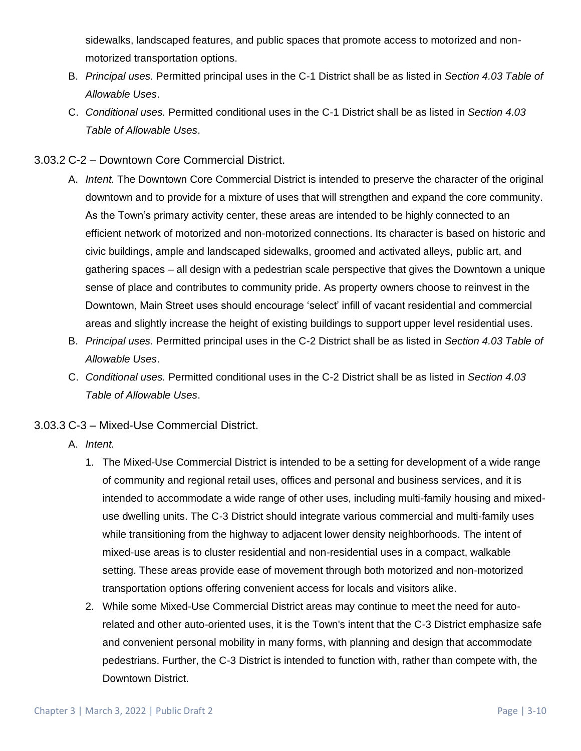sidewalks, landscaped features, and public spaces that promote access to motorized and nonmotorized transportation options.

- B. *Principal uses.* Permitted principal uses in the C-1 District shall be as listed in *Section 4.03 Table of Allowable Uses*.
- C. *Conditional uses.* Permitted conditional uses in the C-1 District shall be as listed in *Section 4.03 Table of Allowable Uses*.

### 3.03.2 C-2 – Downtown Core Commercial District.

- A. *Intent.* The Downtown Core Commercial District is intended to preserve the character of the original downtown and to provide for a mixture of uses that will strengthen and expand the core community. As the Town's primary activity center, these areas are intended to be highly connected to an efficient network of motorized and non-motorized connections. Its character is based on historic and civic buildings, ample and landscaped sidewalks, groomed and activated alleys, public art, and gathering spaces – all design with a pedestrian scale perspective that gives the Downtown a unique sense of place and contributes to community pride. As property owners choose to reinvest in the Downtown, Main Street uses should encourage 'select' infill of vacant residential and commercial areas and slightly increase the height of existing buildings to support upper level residential uses.
- B. *Principal uses.* Permitted principal uses in the C-2 District shall be as listed in *Section 4.03 Table of Allowable Uses*.
- C. *Conditional uses.* Permitted conditional uses in the C-2 District shall be as listed in *Section 4.03 Table of Allowable Uses*.

3.03.3 C-3 – Mixed-Use Commercial District.

- A. *Intent.*
	- 1. The Mixed-Use Commercial District is intended to be a setting for development of a wide range of community and regional retail uses, offices and personal and business services, and it is intended to accommodate a wide range of other uses, including multi-family housing and mixeduse dwelling units. The C-3 District should integrate various commercial and multi-family uses while transitioning from the highway to adjacent lower density neighborhoods. The intent of mixed-use areas is to cluster residential and non-residential uses in a compact, walkable setting. These areas provide ease of movement through both motorized and non-motorized transportation options offering convenient access for locals and visitors alike.
	- 2. While some Mixed-Use Commercial District areas may continue to meet the need for autorelated and other auto-oriented uses, it is the Town's intent that the C-3 District emphasize safe and convenient personal mobility in many forms, with planning and design that accommodate pedestrians. Further, the C-3 District is intended to function with, rather than compete with, the Downtown District.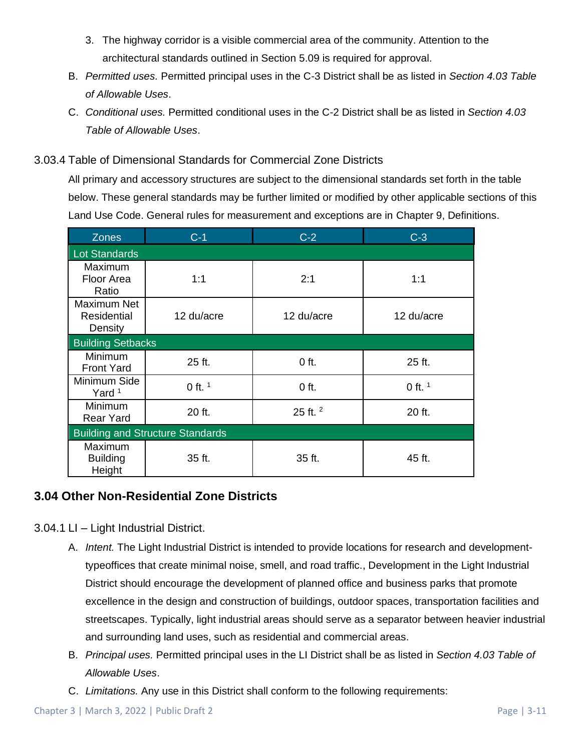- 3. The highway corridor is a visible commercial area of the community. Attention to the architectural standards outlined in Section 5.09 is required for approval.
- B. *Permitted uses.* Permitted principal uses in the C-3 District shall be as listed in *Section 4.03 Table of Allowable Uses*.
- C. *Conditional uses.* Permitted conditional uses in the C-2 District shall be as listed in *Section 4.03 Table of Allowable Uses*.

### 3.03.4 Table of Dimensional Standards for Commercial Zone Districts

All primary and accessory structures are subject to the dimensional standards set forth in the table below. These general standards may be further limited or modified by other applicable sections of this Land Use Code. General rules for measurement and exceptions are in Chapter 9, Definitions.

| <b>Zones</b>                                | $C-1$      | $C-2$      |            |  |  |
|---------------------------------------------|------------|------------|------------|--|--|
| <b>Lot Standards</b>                        |            |            |            |  |  |
| Maximum<br>Floor Area<br>Ratio              | 1:1        | 2:1        | 1:1        |  |  |
| Maximum Net<br>Residential<br>Density       | 12 du/acre | 12 du/acre | 12 du/acre |  |  |
| <b>Building Setbacks</b>                    |            |            |            |  |  |
| <b>Minimum</b><br><b>Front Yard</b>         | 25 ft.     | $0$ ft.    | 25 ft.     |  |  |
| Minimum Side<br>Yard <sup>1</sup>           | 0 ft. $1$  | $0$ ft.    | 0 ft. $1$  |  |  |
| <b>Minimum</b><br><b>Rear Yard</b>          | 20 ft.     | 25 ft. $2$ | 20 ft.     |  |  |
| <b>Building and Structure Standards</b>     |            |            |            |  |  |
| <b>Maximum</b><br><b>Building</b><br>Height | 35 ft.     | 35 ft.     | 45 ft.     |  |  |

### **3.04 Other Non-Residential Zone Districts**

- 3.04.1 LI Light Industrial District.
	- A. *Intent.* The Light Industrial District is intended to provide locations for research and developmenttypeoffices that create minimal noise, smell, and road traffic., Development in the Light Industrial District should encourage the development of planned office and business parks that promote excellence in the design and construction of buildings, outdoor spaces, transportation facilities and streetscapes. Typically, light industrial areas should serve as a separator between heavier industrial and surrounding land uses, such as residential and commercial areas.
	- B. *Principal uses.* Permitted principal uses in the LI District shall be as listed in *Section 4.03 Table of Allowable Uses*.
	- C. *Limitations.* Any use in this District shall conform to the following requirements: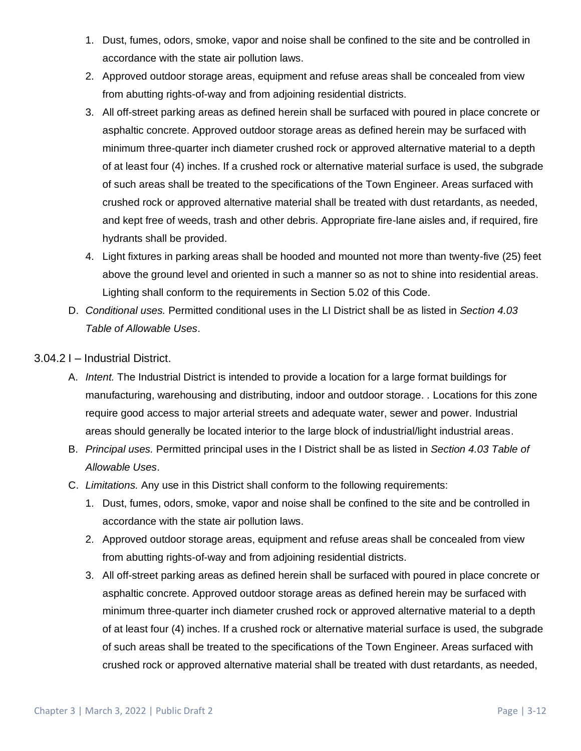- 1. Dust, fumes, odors, smoke, vapor and noise shall be confined to the site and be controlled in accordance with the state air pollution laws.
- 2. Approved outdoor storage areas, equipment and refuse areas shall be concealed from view from abutting rights-of-way and from adjoining residential districts.
- 3. All off-street parking areas as defined herein shall be surfaced with poured in place concrete or asphaltic concrete. Approved outdoor storage areas as defined herein may be surfaced with minimum three-quarter inch diameter crushed rock or approved alternative material to a depth of at least four (4) inches. If a crushed rock or alternative material surface is used, the subgrade of such areas shall be treated to the specifications of the Town Engineer. Areas surfaced with crushed rock or approved alternative material shall be treated with dust retardants, as needed, and kept free of weeds, trash and other debris. Appropriate fire-lane aisles and, if required, fire hydrants shall be provided.
- 4. Light fixtures in parking areas shall be hooded and mounted not more than twenty-five (25) feet above the ground level and oriented in such a manner so as not to shine into residential areas. Lighting shall conform to the requirements in Section 5.02 of this Code.
- D. *Conditional uses.* Permitted conditional uses in the LI District shall be as listed in *Section 4.03 Table of Allowable Uses*.
- 3.04.2 I Industrial District.
	- A. *Intent.* The Industrial District is intended to provide a location for a large format buildings for manufacturing, warehousing and distributing, indoor and outdoor storage. . Locations for this zone require good access to major arterial streets and adequate water, sewer and power. Industrial areas should generally be located interior to the large block of industrial/light industrial areas.
	- B. *Principal uses.* Permitted principal uses in the I District shall be as listed in *Section 4.03 Table of Allowable Uses*.
	- C. *Limitations.* Any use in this District shall conform to the following requirements:
		- 1. Dust, fumes, odors, smoke, vapor and noise shall be confined to the site and be controlled in accordance with the state air pollution laws.
		- 2. Approved outdoor storage areas, equipment and refuse areas shall be concealed from view from abutting rights-of-way and from adjoining residential districts.
		- 3. All off-street parking areas as defined herein shall be surfaced with poured in place concrete or asphaltic concrete. Approved outdoor storage areas as defined herein may be surfaced with minimum three-quarter inch diameter crushed rock or approved alternative material to a depth of at least four (4) inches. If a crushed rock or alternative material surface is used, the subgrade of such areas shall be treated to the specifications of the Town Engineer. Areas surfaced with crushed rock or approved alternative material shall be treated with dust retardants, as needed,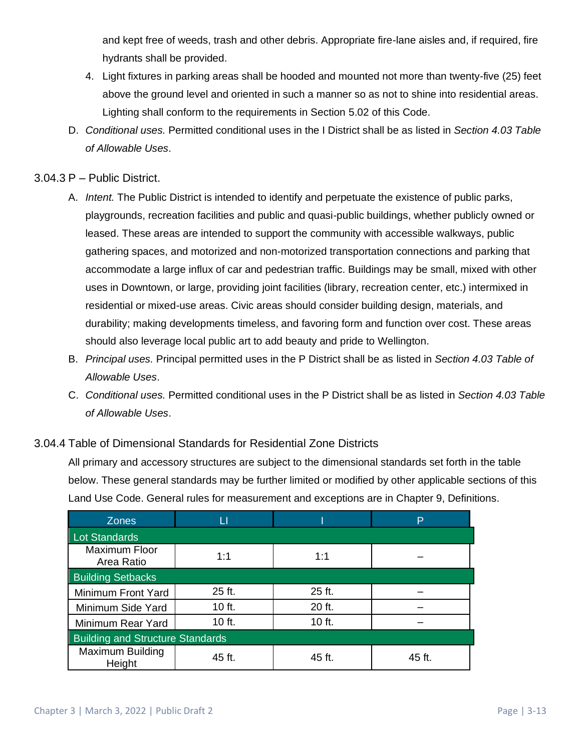and kept free of weeds, trash and other debris. Appropriate fire-lane aisles and, if required, fire hydrants shall be provided.

- 4. Light fixtures in parking areas shall be hooded and mounted not more than twenty-five (25) feet above the ground level and oriented in such a manner so as not to shine into residential areas. Lighting shall conform to the requirements in Section 5.02 of this Code.
- D. *Conditional uses.* Permitted conditional uses in the I District shall be as listed in *Section 4.03 Table of Allowable Uses*.

### 3.04.3 P – Public District.

- A. *Intent.* The Public District is intended to identify and perpetuate the existence of public parks, playgrounds, recreation facilities and public and quasi-public buildings, whether publicly owned or leased. These areas are intended to support the community with accessible walkways, public gathering spaces, and motorized and non-motorized transportation connections and parking that accommodate a large influx of car and pedestrian traffic. Buildings may be small, mixed with other uses in Downtown, or large, providing joint facilities (library, recreation center, etc.) intermixed in residential or mixed-use areas. Civic areas should consider building design, materials, and durability; making developments timeless, and favoring form and function over cost. These areas should also leverage local public art to add beauty and pride to Wellington.
- B. *Principal uses.* Principal permitted uses in the P District shall be as listed in *Section 4.03 Table of Allowable Uses*.
- C. *Conditional uses.* Permitted conditional uses in the P District shall be as listed in *Section 4.03 Table of Allowable Uses*.

### 3.04.4 Table of Dimensional Standards for Residential Zone Districts

All primary and accessory structures are subject to the dimensional standards set forth in the table below. These general standards may be further limited or modified by other applicable sections of this Land Use Code. General rules for measurement and exceptions are in Chapter 9, Definitions.

| <b>Zones</b>                            |        |        | Þ      |  |  |  |
|-----------------------------------------|--------|--------|--------|--|--|--|
| Lot Standards                           |        |        |        |  |  |  |
| Maximum Floor<br>Area Ratio             | 1:1    | 1:1    |        |  |  |  |
| <b>Building Setbacks</b>                |        |        |        |  |  |  |
| Minimum Front Yard                      | 25 ft. | 25 ft. |        |  |  |  |
| Minimum Side Yard                       | 10 ft. | 20 ft. |        |  |  |  |
| Minimum Rear Yard                       | 10 ft. | 10 ft. |        |  |  |  |
| <b>Building and Structure Standards</b> |        |        |        |  |  |  |
| <b>Maximum Building</b><br>Height       | 45 ft. | 45 ft. | 45 ft. |  |  |  |